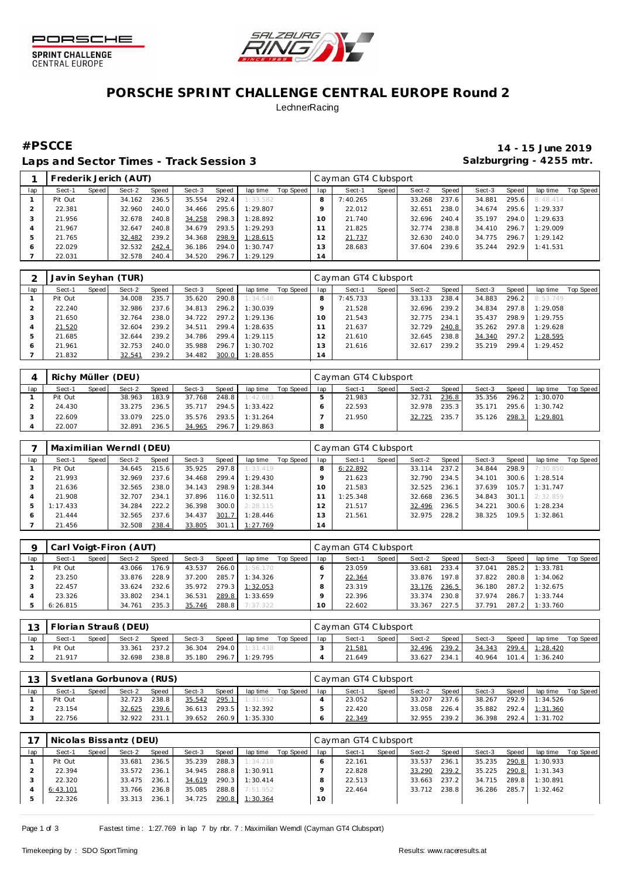



## **PORSCHE SPRINT CHALLENGE CENTRAL EUROPE Round 2 LechnerRacing**

Laps and Sector Times - Track Session 3 **Salzburgring - 4255 mtr.** And Salzburgring - 4255 mtr.

**#PSCCE 14 - 15 June 2019**

|               |         |       | Frederik Jerich (AUT) |       |        |       |          |           |     | Cayman GT4 Clubsport |       |        |       |        |       |          |           |
|---------------|---------|-------|-----------------------|-------|--------|-------|----------|-----------|-----|----------------------|-------|--------|-------|--------|-------|----------|-----------|
| lap           | Sect-1  | Speed | Sect-2                | Speed | Sect-3 | Speed | lap time | Top Speed | lap | Sect-1               | Speed | Sect-2 | Speed | Sect-3 | Speed | lap time | Top Speed |
|               | Pit Out |       | 34.162                | 236.5 | 35.554 | 292.4 | 1:33.582 |           |     | 7:40.265             |       | 33.268 | 237.6 | 34.881 | 295.6 | 8:48.414 |           |
|               | 22.381  |       | 32.960                | 240.0 | 34.466 | 295.6 | 1:29.807 |           |     | 22.012               |       | 32.651 | 238.0 | 34.674 | 295.6 | 1:29.337 |           |
|               | 21.956  |       | 32.678                | 240.8 | 34.258 | 298.3 | 1:28.892 |           |     | 21.740               |       | 32.696 | 240.4 | 35.197 | 294.0 | 1:29.633 |           |
|               | 21.967  |       | 32.647                | 240.8 | 34.679 | 293.5 | 1:29.293 |           |     | 21.825               |       | 32.774 | 238.8 | 34.410 | 296.7 | 1:29.009 |           |
| $\mathcal{P}$ | 21.765  |       | 32.482                | 239.2 | 34.368 | 298.9 | 1:28.615 |           |     | 21.737               |       | 32.630 | 240.0 | 34.775 | 296.7 | 1:29.142 |           |
| 6             | 22.029  |       | 32.532                | 242.4 | 36.186 | 294.0 | 1:30.747 |           | 3   | 28.683               |       | 37.604 | 239.6 | 35.244 | 292.9 | 1:41.531 |           |
|               | 22.031  |       | 32.578                | 240.4 | 34.520 | 296.7 | 1:29.129 |           | 14  |                      |       |        |       |        |       |          |           |

|     | Javin Seyhan (TUR) |       |        |       |        |       |          |           |          | Cayman GT4 Clubsport |       |        |       |        |       |          |           |
|-----|--------------------|-------|--------|-------|--------|-------|----------|-----------|----------|----------------------|-------|--------|-------|--------|-------|----------|-----------|
| lap | Sect-1             | Speed | Sect-2 | Speed | Sect-3 | Speed | lap time | Top Speed | lap      | Sect-1               | Speed | Sect-2 | Speed | Sect-3 | Speed | lap time | Top Speed |
|     | Pit Out            |       | 34.008 | 235.7 | 35.620 | 290.8 | 1:34.548 |           |          | 7:45.733             |       | 33.133 | 238.4 | 34.883 | 296.2 | 8:53.749 |           |
|     | 22.240             |       | 32.986 | 237.6 | 34.813 | 296.2 | 1:30.039 |           |          | 21.528               |       | 32.696 | 239.2 | 34.834 | 297.8 | 1:29.058 |           |
|     | 21.650             |       | 32.764 | 238.0 | 34.722 | 297.2 | 1:29.136 |           | $\Omega$ | 21.543               |       | 32.775 | 234.1 | 35.437 | 298.9 | 1:29.755 |           |
|     | 21.520             |       | 32.604 | 239.2 | 34.511 | 299.4 | 1:28.635 |           |          | 21.637               |       | 32.729 | 240.8 | 35.262 | 297.8 | 1:29.628 |           |
| h   | 21.685             |       | 32.644 | 239.2 | 34.786 | 299.4 | 1:29.115 |           |          | 21.610               |       | 32.645 | 238.8 | 34.340 | 297.2 | 1:28.595 |           |
| O   | 21.961             |       | 32.753 | 240.0 | 35.988 | 296.7 | 1:30.702 |           | 13       | 21.616               |       | 32.617 | 239.2 | 35.219 | 299.4 | 1:29.452 |           |
|     | 21.832             |       | 32.541 | 239.2 | 34.482 | 300.0 | 1:28.855 |           | 14       |                      |       |        |       |        |       |          |           |

|     | Richy Müller (DEU) |       |        |       |        |       |          |           |     | Cayman GT4 Clubsport |       |        |       |        |       |          |           |
|-----|--------------------|-------|--------|-------|--------|-------|----------|-----------|-----|----------------------|-------|--------|-------|--------|-------|----------|-----------|
| lap | Sect-1             | Speed | Sect-2 | Speed | Sect-3 | Speed | lap time | Top Speed | lap | Sect-1               | Speed | Sect-2 | Speed | Sect-3 | Speed | lap time | Top Speed |
|     | Pit Out            |       | 38.963 | 183.9 | 37.768 | 248.8 | 1:42.683 |           |     | 21.983               |       | 32.731 | 236.8 | 35.356 | 296.2 | 1:30.070 |           |
|     | 24.430             |       | 33.275 | 236.5 | 35.717 | 294.5 | 1:33.422 |           |     | 22.593               |       | 32.978 | 235.3 | 35.171 | 295.6 | 1:30.742 |           |
|     | 22.609             |       | 33.079 | 225.0 | 35.576 | 293.5 | 1:31.264 |           |     | 21.950               |       | 32.725 | 235.7 | 35.126 | 298.3 | 1:29.801 |           |
|     | 22.007             |       | 32.891 | 236.5 | 34.965 | 296.7 | 1:29.863 |           | 8   |                      |       |        |       |        |       |          |           |

|     |          |       | Maximilian Werndl (DEU) |       |        |       |          |           |     | Cayman GT4 Clubsport |       |        |       |        |       |          |                  |
|-----|----------|-------|-------------------------|-------|--------|-------|----------|-----------|-----|----------------------|-------|--------|-------|--------|-------|----------|------------------|
| lap | Sect-1   | Speed | Sect-2                  | Speed | Sect-3 | Speed | lap time | Top Speed | lap | Sect-1               | Speed | Sect-2 | Speed | Sect-3 | Speed | lap time | <b>Top Speed</b> |
|     | Pit Out  |       | 34.645                  | 215.6 | 35.925 | 297.8 | 1:33.419 |           |     | 6:22.892             |       | 33.114 | 237.2 | 34.844 | 298.9 | 7:30.850 |                  |
|     | 21.993   |       | 32.969                  | 237.6 | 34.468 | 299.4 | 1:29.430 |           |     | 21.623               |       | 32.790 | 234.5 | 34.101 | 300.6 | 1:28.514 |                  |
|     | 21.636   |       | 32.565                  | 238.0 | 34.143 | 298.9 | 1:28.344 |           | Ω   | 21.583               |       | 32.525 | 236.1 | 37.639 | 105.7 | 1:31.747 |                  |
|     | 21.908   |       | 32.707                  | 234.1 | 37.896 | 116.0 | 1:32.511 |           |     | 1:25.348             |       | 32.668 | 236.5 | 34.843 | 301.1 | 2:32.859 |                  |
|     | 1:17.433 |       | 34.284                  | 222.2 | 36.398 | 300.0 | 2:28.115 |           |     | 21.517               |       | 32.496 | 236.5 | 34.221 | 300.6 | 1:28.234 |                  |
|     | 21.444   |       | 32.565                  | 237.6 | 34.437 | 301.7 | 1:28.446 |           | 13  | 21.561               |       | 32.975 | 228.2 | 38.325 | 109.5 | 1:32.861 |                  |
|     | 21.456   |       | 32.508                  | 238.4 | 33.805 | 301.1 | 1:27.769 |           | 14  |                      |       |        |       |        |       |          |                  |

|     |          |         | Carl Voigt-Firon (AUT) |       |        |       |          |           |     | Cayman GT4 Clubsport |       |        |       |        |       |          |           |
|-----|----------|---------|------------------------|-------|--------|-------|----------|-----------|-----|----------------------|-------|--------|-------|--------|-------|----------|-----------|
| lap | Sect-1   | Speed I | Sect-2                 | Speed | Sect-3 | Speed | lap time | Top Speed | lap | Sect-1               | Speed | Sect-2 | Speed | Sect-3 | Speed | lap time | Top Speed |
|     | Pit Out  |         | 43.066                 | 176.9 | 43.537 | 266.0 | 1:56.170 |           |     | 23.059               |       | 33.681 | 233.4 | 37.041 | 285.2 | 1:33.781 |           |
|     | 23.250   |         | 33.876                 | 228.9 | 37.200 | 285.7 | 1:34.326 |           |     | 22.364               |       | 33.876 | 197.8 | 37.822 | 280.8 | 1:34.062 |           |
|     | 22.457   |         | 33.624                 | 232.6 | 35.972 | 279.3 | 1:32.053 |           |     | 23.319               |       | 33.176 | 236.5 | 36.180 | 287.2 | 1:32.675 |           |
|     | 23.326   |         | 33.802                 | 234.1 | 36.531 | 289.8 | 1:33.659 |           |     | 22.396               |       | 33.374 | 230.8 | 37.974 | 286.7 | 1:33.744 |           |
|     | 6:26.815 |         | 34.761                 | 235.3 | 35.746 | 288.8 | 7:37.322 |           |     | 22.602               |       | 33.367 | 227.5 | 37.791 | 287.2 | 1:33.760 |           |

| 12  |         |              | Florian Strauß (DEU) |              |        |       |          |           |     | Cayman GT4 Clubsport |       |        |       |        |       |          |           |
|-----|---------|--------------|----------------------|--------------|--------|-------|----------|-----------|-----|----------------------|-------|--------|-------|--------|-------|----------|-----------|
| lap | Sect-1  | <b>Speed</b> | Sect-2               | <b>Speed</b> | Sect-3 | Speed | lap time | Top Speed | lap | Sect-1               | Speed | Sect-2 | Speed | Sect-3 | Speed | lap time | Top Speed |
|     | Pit Out |              | 33.361               | 237.2        | 36.304 | 294.0 | 1:31.438 |           |     | 21.581               |       | 32.496 | 239.2 | 34.343 | 299.4 | 1:28.420 |           |
|     | 21.917  |              | 32.698               | 238.8        | 35.180 | 296.7 | 1:29.795 |           |     | 21.649               |       | 33.627 | 234.1 | 40.964 | 101.4 | 1:36.240 |           |

|     | 13   Svetlana Gorbunova (RUS) |       |        |        |        |       |                |           |     | Cayman GT4 Clubsport |       |        |       |        |         |          |           |
|-----|-------------------------------|-------|--------|--------|--------|-------|----------------|-----------|-----|----------------------|-------|--------|-------|--------|---------|----------|-----------|
| lap | Sect-1                        | Speed | Sect-2 | Speed  | Sect-3 | Speed | lap time       | Top Speed | lap | Sect-1               | Speed | Sect-2 | Speed | Sect-3 | Speed   | lap time | Top Speed |
|     | Pit Out                       |       | 32.723 | 238.81 | 35.542 | 295.1 | 1:31.952       |           |     | 23.052               |       | 33.207 | 237.6 | 38.267 | 292.9   | 1:34.526 |           |
|     | 23.154                        |       | 32.625 | 239.6  | 36.613 |       | 293.5 1:32.392 |           |     | 22.420               |       | 33.058 | 226.4 | 35.882 | 292.4   | 1:31.360 |           |
|     | 22.756                        |       | 32.922 | 231.1  | 39.652 | 260.9 | 1:35.330       |           |     | 22.349               |       | 32.955 | 239.2 | 36.398 | $292.4$ | 1:31.702 |           |

|     |          |         | Nicolas Bissantz (DEU) |       |        |       |          |           |     | Cayman GT4 Clubsport |       |        |       |        |       |          |           |
|-----|----------|---------|------------------------|-------|--------|-------|----------|-----------|-----|----------------------|-------|--------|-------|--------|-------|----------|-----------|
| lap | Sect-1   | Speed I | Sect-2                 | Speed | Sect-3 | Speed | lap time | Top Speed | lap | Sect-1               | Speed | Sect-2 | Speed | Sect-3 | Speed | lap time | Top Speed |
|     | Pit Out  |         | 33.681                 | 236.5 | 35.239 | 288.3 | 1:34.218 |           |     | 22.161               |       | 33.537 | 236.1 | 35.235 | 290.8 | 1:30.933 |           |
|     | 22.394   |         | 33.572                 | 236.1 | 34.945 | 288.8 | 1:30.911 |           |     | 22.828               |       | 33.290 | 239.2 | 35.225 | 290.8 | 1:31.343 |           |
|     | 22.320   |         | 33.475                 | 236.1 | 34.619 | 290.3 | 1:30.414 |           |     | 22.513               |       | 33.663 | 237.2 | 34.715 | 289.8 | 1:30.891 |           |
|     | 6:43.101 |         | 33.766                 | 236.8 | 35.085 | 288.8 | 7:51.952 |           |     | 22.464               |       | 33.712 | 238.8 | 36.286 | 285.7 | 1:32.462 |           |
|     | 22.326   |         | 33.313                 | 236.1 | 34.725 | 290.8 | 1:30.364 |           | 10  |                      |       |        |       |        |       |          |           |

Page 1 of 3 Fastest time : 1:27.769 in lap 7 by rbr. 7 : Maximilian Wemdl (Cayman GT4 Clubsport)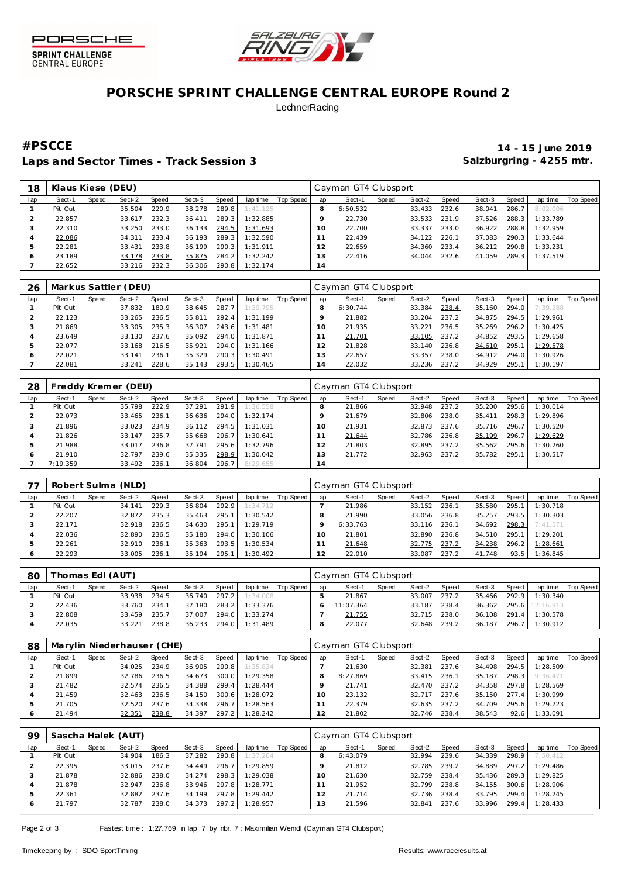



### **PORSCHE SPRINT CHALLENGE CENTRAL EUROPE Round 2 LechnerRacing**

# **#PSCCE 14 - 15 June 2019** Laps and Sector Times - Track Session 3 **Salzburgring - 4255 mtr.** And Salzburgring - 4255 mtr.

| 18  | Klaus Kiese (DEU) |       |        |       |        |       |          |           |          | Cayman GT4 Clubsport |       |        |       |        |       |          |           |
|-----|-------------------|-------|--------|-------|--------|-------|----------|-----------|----------|----------------------|-------|--------|-------|--------|-------|----------|-----------|
| lap | Sect-1            | Speed | Sect-2 | Speed | Sect-3 | Speed | lap time | Top Speed | lap      | Sect-1               | Speed | Sect-2 | Speed | Sect-3 | Speed | lap time | Top Speed |
|     | Pit Out           |       | 35.504 | 220.9 | 38.278 | 289.8 | 1:41.125 |           |          | 6:50.532             |       | 33.433 | 232.6 | 38.041 | 286.7 | 8:02.006 |           |
|     | 22.857            |       | 33.617 | 232.3 | 36.411 | 289.3 | 1:32.885 |           |          | 22.730               |       | 33.533 | 231.9 | 37.526 | 288.3 | 1:33.789 |           |
|     | 22.310            |       | 33.250 | 233.0 | 36.133 | 294.5 | 1:31.693 |           | $\Omega$ | 22.700               |       | 33.337 | 233.0 | 36.922 | 288.8 | 1:32.959 |           |
| 4   | 22.086            |       | 34.311 | 233.4 | 36.193 | 289.3 | 1:32.590 |           |          | 22.439               |       | 34.122 | 226.1 | 37.083 | 290.3 | 1:33.644 |           |
| 5   | 22.281            |       | 33.431 | 233.8 | 36.199 | 290.3 | 1:31.911 |           |          | 22.659               |       | 34.360 | 233.4 | 36.212 | 290.8 | 1:33.231 |           |
| O   | 23.189            |       | 33.178 | 233.8 | 35.875 | 284.2 | 1:32.242 |           | Ε.       | 22.416               |       | 34.044 | 232.6 | 41.059 | 289.3 | 1:37.519 |           |
|     | 22.652            |       | 33.216 | 232.3 | 36.306 | 290.8 | 1:32.174 |           | 14       |                      |       |        |       |        |       |          |           |

| 26  |         |       | Markus Sattler (DEU) |       |        |       |          |           |     | Cayman GT4 Clubsport |       |        |       |        |       |          |           |
|-----|---------|-------|----------------------|-------|--------|-------|----------|-----------|-----|----------------------|-------|--------|-------|--------|-------|----------|-----------|
| lap | Sect-1  | Speed | Sect-2               | Speed | Sect-3 | Speed | lap time | Top Speed | lap | Sect-1               | Speed | Sect-2 | Speed | Sect-3 | Speed | lap time | Top Speed |
|     | Pit Out |       | 37.832               | 180.9 | 38.645 | 287.7 | 1:39.795 |           |     | 6:30.744             |       | 33.384 | 238.4 | 35.160 | 294.0 | 7:39.288 |           |
|     | 22.123  |       | 33.265               | 236.5 | 35.811 | 292.4 | 1:31.199 |           |     | 21.882               |       | 33.204 | 237.2 | 34.875 | 294.5 | 1:29.961 |           |
|     | 21.869  |       | 33.305               | 235.3 | 36.307 | 243.6 | 1:31.481 |           | 10  | 21.935               |       | 33.221 | 236.5 | 35.269 | 296.2 | 1:30.425 |           |
|     | 23.649  |       | 33.130               | 237.6 | 35.092 | 294.0 | 1:31.871 |           |     | 21.701               |       | 33.105 | 237.2 | 34.852 | 293.5 | 1:29.658 |           |
|     | 22.077  |       | 33.168               | 216.5 | 35.921 | 294.0 | 1:31.166 |           |     | 21.828               |       | 33.140 | 236.8 | 34.610 | 295.1 | 1:29.578 |           |
| 6   | 22.021  |       | 33.141               | 236.1 | 35.329 | 290.3 | 1:30.491 |           | 13  | 22.657               |       | 33.357 | 238.0 | 34.912 | 294.0 | 1:30.926 |           |
|     | 22.081  |       | 33.241               | 228.6 | 35.143 | 293.5 | 1:30.465 |           | 14  | 22.032               |       | 33.236 | 237.2 | 34.929 | 295.1 | 1:30.197 |           |

| 28            |          |       | Freddy Kremer (DEU) |       |        |       |          |           |     | Cayman GT4 Clubsport |       |        |        |        |       |          |           |
|---------------|----------|-------|---------------------|-------|--------|-------|----------|-----------|-----|----------------------|-------|--------|--------|--------|-------|----------|-----------|
| lap           | Sect-1   | Speed | Sect-2              | Speed | Sect-3 | Speed | lap time | Top Speed | lap | Sect-1               | Speed | Sect-2 | Speed  | Sect-3 | Speed | lap time | Top Speed |
|               | Pit Out  |       | 35.798              | 222.9 | 37.291 | 291.9 | 1:36.558 |           |     | 21.866               |       | 32.948 | 237.21 | 35.200 | 295.6 | 1:30.014 |           |
|               | 22.073   |       | 33.465              | 236.1 | 36.636 | 294.0 | 1:32.174 |           |     | 21.679               |       | 32.806 | 238.0  | 35.411 | 298.3 | 1:29.896 |           |
|               | 21.896   |       | 33.023              | 234.9 | 36.112 | 294.5 | 1:31.031 |           | 10  | 21.931               |       | 32.873 | 237.6  | 35.716 | 296.7 | 1:30.520 |           |
|               | 21.826   |       | 33.147              | 235.7 | 35.668 | 296.7 | 1:30.641 |           |     | 21.644               |       | 32.786 | 236.8  | 35.199 | 296.7 | 1:29.629 |           |
| $\mathcal{P}$ | 21.988   |       | 33.017              | 236.8 | 37.791 | 295.6 | 1:32.796 |           |     | 21.803               |       | 32.895 | 237.2  | 35.562 | 295.6 | 1:30.260 |           |
| 6             | 21.910   |       | 32.797              | 239.6 | 35.335 | 298.9 | 1:30.042 |           | 13  | 21.772               |       | 32.963 | 237.2  | 35.782 | 295.1 | 1:30.517 |           |
|               | 7:19.359 |       | 33.492              | 236.1 | 36.804 | 296.7 | 8:29.655 |           | 14  |                      |       |        |        |        |       |          |           |

| 77  |         |       | Robert Sulma (NLD) |       |        |       |          |           |     | Cayman GT4 Clubsport |       |        |         |        |       |          |           |
|-----|---------|-------|--------------------|-------|--------|-------|----------|-----------|-----|----------------------|-------|--------|---------|--------|-------|----------|-----------|
| lap | Sect-1  | Speed | Sect-2             | Speed | Sect-3 | Speed | lap time | Top Speed | lap | Sect-1               | Speed | Sect-2 | Speed I | Sect-3 | Speed | lap time | Top Speed |
|     | Pit Out |       | 34.141             | 229.3 | 36.804 | 292.9 | 1:34.712 |           |     | 21.986               |       | 33.152 | 236.1   | 35.580 | 295.1 | 1:30.718 |           |
|     | 22.207  |       | 32.872             | 235.3 | 35.463 | 295.1 | 1:30.542 |           |     | 21.990               |       | 33.056 | 236.8   | 35.257 | 293.5 | 1:30.303 |           |
|     | 22.171  |       | 32.918             | 236.5 | 34.630 | 295.1 | 1:29.719 |           |     | 6:33.763             |       | 33.116 | 236.1   | 34.692 | 298.3 | 7:41.571 |           |
|     | 22.036  |       | 32.890             | 236.5 | 35.180 | 294.0 | 1:30.106 |           |     | 21.801               |       | 32.890 | 236.8   | 34.510 | 295.1 | 1:29.201 |           |
|     | 22.261  |       | 32.910             | 236.1 | 35.363 | 293.5 | 1:30.534 |           |     | 21.648               |       | 32.775 | 237.2   | 34.238 | 296.2 | 1:28.661 |           |
|     | 22.293  |       | 33.005             | 236.1 | 35.194 | 295.1 | 1:30.492 |           | 12  | 22.010               |       | 33.087 | 237.2   | 41.748 | 93.5  | 1:36.845 |           |

| 80  | [homas EdI (AUT) |       |        |       |        |       |          |           |     | Cayman GT4 Clubsport |       |        |       |        |       |                 |           |
|-----|------------------|-------|--------|-------|--------|-------|----------|-----------|-----|----------------------|-------|--------|-------|--------|-------|-----------------|-----------|
| lap | Sect-1           | Speed | Sect-2 | Speed | Sect-3 | Speed | lap time | Top Speed | lap | Sect-1               | Speed | Sect-2 | Speed | Sect-3 | Speed | lap time        | Top Speed |
|     | Pit Out          |       | 33.938 | 234.5 | 36.740 | 297.2 | 1:34.008 |           |     | 21.867               |       | 33.007 | 237.2 | 35.466 | 292.9 | 1:30.340        |           |
|     | 22.436           |       | 33.760 | 234.1 | 37.180 | 283.2 | 1:33.376 |           |     | 11:07.364            |       | 33.187 | 238.4 | 36.362 |       | 295.6 12:16.913 |           |
|     | 22.808           |       | 33.459 | 235.7 | 37.007 | 294.0 | 1:33.274 |           |     | 21.755               |       | 32.715 | 238.0 | 36.108 | 291.4 | 1:30.578        |           |
|     | 22.035           |       | 33.221 | 238.8 | 36.233 | 294.0 | 1:31.489 |           |     | 22.077               |       | 32.648 | 239.2 | 36.187 | 296.7 | 1:30.912        |           |

| 88  |         | Marylin Niederhauser (CHE) |        |       |        | Cayman GT4 Clubsport |          |           |     |          |       |              |       |        |       |                |                  |
|-----|---------|----------------------------|--------|-------|--------|----------------------|----------|-----------|-----|----------|-------|--------------|-------|--------|-------|----------------|------------------|
| lap | Sect-1  | Speed                      | Sect-2 | Speed | Sect-3 | Speed                | lap time | Top Speed | lap | Sect-1   | Speed | Sect-2       | Speed | Sect-3 | Speed | lap time       | <b>Top Speed</b> |
|     | Pit Out |                            | 34.025 | 234.9 | 36.905 | 290.8                | 1:35.834 |           |     | 21.630   |       | 32.381       | 237.6 | 34.498 | 294.5 | 1:28.509       |                  |
|     | 21.899  |                            | 32.786 | 236.5 | 34.673 | 300.0                | 1:29.358 |           |     | 8:27.869 |       | 33.415 236.1 |       | 35.187 |       | 298.3 9:36.471 |                  |
|     | 21.482  |                            | 32.574 | 236.5 | 34.388 | 299.4                | 1:28.444 |           |     | 21.741   |       | 32.470 237.2 |       | 34.358 |       | 297.8 1:28.569 |                  |
|     | 21.459  |                            | 32.463 | 236.5 | 34.150 | 300.6                | 1:28.072 |           | 10  | 23.132   |       | 32.717       | 237.6 | 35.150 | 277.4 | 1:30.999       |                  |
|     | 21.705  |                            | 32.520 | 237.6 | 34.338 | 296.7                | 1:28.563 |           |     | 22.379   |       | 32.635 237.2 |       | 34.709 | 295.6 | 1:29.723       |                  |
| 6   | 21.494  |                            | 32.351 | 238.8 | 34.397 | 297.2                | 1:28.242 |           |     | 21.802   |       | 32.746 238.4 |       | 38.543 | 92.6  | 1:33.091       |                  |

| 99  |         |       | Sascha Halek (AUT) |       |        |       |          |           | Cayman GT4 Clubsport |          |       |        |       |        |       |          |           |
|-----|---------|-------|--------------------|-------|--------|-------|----------|-----------|----------------------|----------|-------|--------|-------|--------|-------|----------|-----------|
| lap | Sect-1  | Speed | Sect-2             | Speed | Sect-3 | Speed | lap time | Top Speed | lap                  | Sect-1   | Speed | Sect-2 | Speed | Sect-3 | Speed | lap time | Top Speed |
|     | Pit Out |       | 34.904             | 186.3 | 37.282 | 290.8 | 1:37.204 |           |                      | 6:43.079 |       | 32.994 | 239.6 | 34.339 | 298.9 | 7:50.412 |           |
|     | 22.395  |       | 33.015             | 237.6 | 34.449 | 296.7 | 1:29.859 |           |                      | 21.812   |       | 32.785 | 239.2 | 34.889 | 297.2 | 1:29.486 |           |
|     | 21.878  |       | 32.886             | 238.0 | 34.274 | 298.3 | 1:29.038 |           |                      | 21.630   |       | 32.759 | 238.4 | 35.436 | 289.3 | 1:29.825 |           |
|     | 21.878  |       | 32.947             | 236.8 | 33.946 | 297.8 | 1:28.771 |           |                      | 21.952   |       | 32.799 | 238.8 | 34.155 | 300.6 | 1:28.906 |           |
|     | 22.361  |       | 32.882             | 237.6 | 34.199 | 297.8 | 1:29.442 |           |                      | 21.714   |       | 32.736 | 238.4 | 33.795 | 299.4 | 1:28.245 |           |
|     | 21.797  |       | 32.787             | 238.0 | 34.373 | 297.2 | 1:28.957 |           | 3                    | 21.596   |       | 32.841 | 237.6 | 33.996 | 299.4 | 1:28.433 |           |